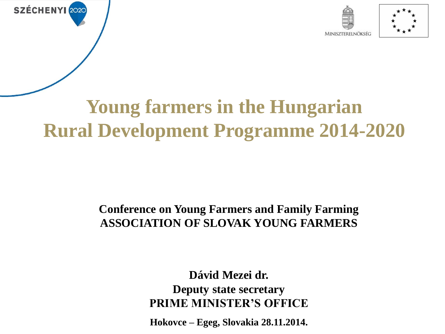



## **Young farmers in the Hungarian Rural Development Programme 2014-2020**

SZÉCHENYI 2020

#### **Conference on Young Farmers and Family Farming ASSOCIATION OF SLOVAK YOUNG FARMERS**

**Dávid Mezei dr. Deputy state secretary PRIME MINISTER'S OFFICE**

**Hokovce – Egeg, Slovakia 28.11.2014.**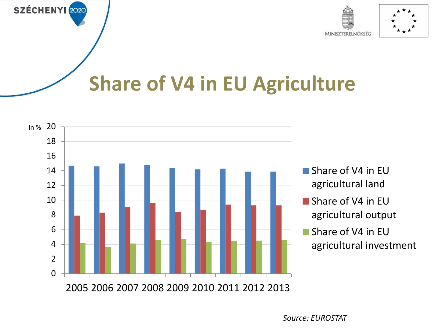



# **Share of V4 in EU Agriculture**



- Share of V4 in EU agricultural land
- Share of V4 in EU agricultural output
- Share of V4 in EU agricultural investment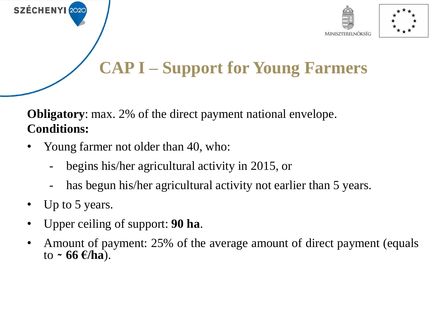



### **CAP I – Support for Young Farmers**

**Obligatory**: max. 2% of the direct payment national envelope. **Conditions:**

- Young farmer not older than 40, who:
	- begins his/her agricultural activity in 2015, or
	- has begun his/her agricultural activity not earlier than 5 years.
- Up to 5 years.

- Upper ceiling of support: **90 ha**.
- Amount of payment: 25% of the average amount of direct payment (equals  $\frac{1}{10}$  **← 66**  $\frac{1}{2}$ /**ha**).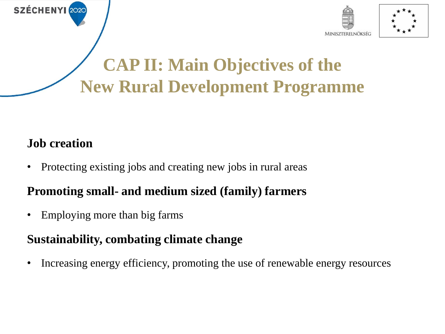



### **CAP II: Main Objectives of the New Rural Development Programme**

### **Job creation**

**SZÉCHENYI** 2020

• Protecting existing jobs and creating new jobs in rural areas

### **Promoting small- and medium sized (family) farmers**

• Employing more than big farms

#### **Sustainability, combating climate change**

• Increasing energy efficiency, promoting the use of renewable energy resources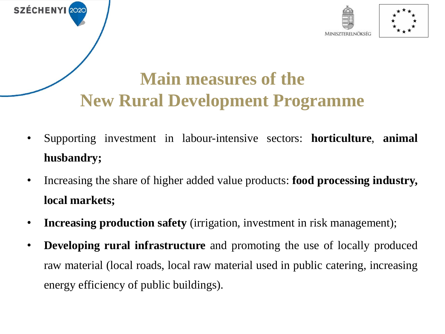



### **Main measures of the New Rural Development Programme**

- Supporting investment in labour-intensive sectors: **horticulture**, **animal husbandry;**
- Increasing the share of higher added value products: **food processing industry, local markets;**
- **Increasing production safety** (irrigation, investment in risk management);
- **Developing rural infrastructure** and promoting the use of locally produced raw material (local roads, local raw material used in public catering, increasing energy efficiency of public buildings).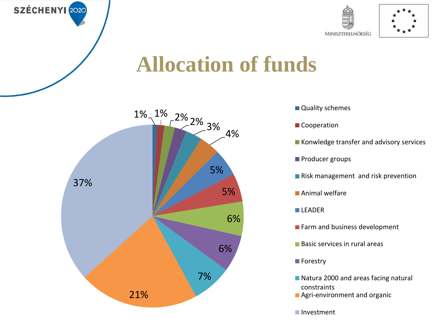



## **Allocation of funds**



- **Quality schemes**
- Cooperation
- Konwledge transfer and advisory services
- **Producer groups**
- Risk management and risk prevention
- **Animal welfare**
- **LEADER**
- Farm and business development
- **Basic services in rural areas**
- **Forestry**
- Natura 2000 and areas facing natural constraints
- **Agri-environment and organic**
- Investment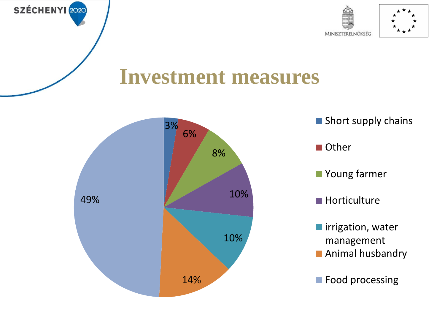



## **Investment measures**



SZÉCHENYI 2020



**Food processing**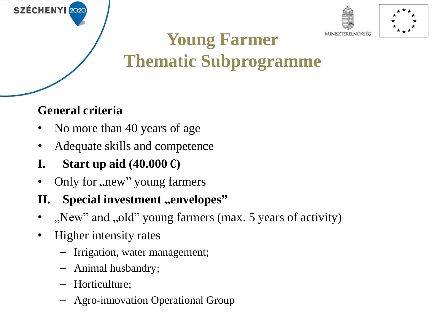



## **Young Farmer Thematic Subprogramme**

### **General criteria**

**SZÉCHENYI** 2020

- No more than 40 years of age
- Adequate skills and competence
- **I. Start up** aid  $(40.000 \text{ } \epsilon)$
- Only for "new" young farmers

### **II.** Special investment ,, envelopes"

- ", New" and "old" young farmers (max. 5 years of activity)
- Higher intensity rates
	- Irrigation, water management;
	- Animal husbandry;
	- Horticulture;
	- Agro-innovation Operational Group